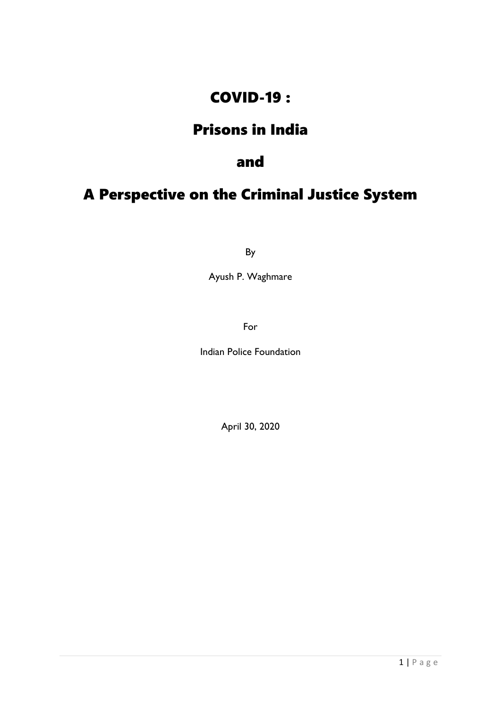#### COVID-19 :

#### Prisons in India

#### and

#### A Perspective on the Criminal Justice System

By

Ayush P. Waghmare

For

Indian Police Foundation

April 30, 2020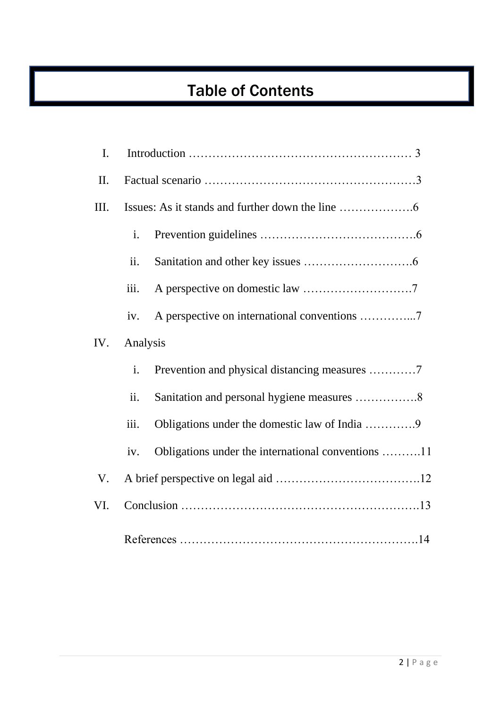## Table of Contents

| $\mathbf{I}$ . |          |                                                    |
|----------------|----------|----------------------------------------------------|
| II.            |          |                                                    |
| III.           |          |                                                    |
|                | i.       |                                                    |
|                | ii.      |                                                    |
|                | iii.     |                                                    |
|                | iv.      |                                                    |
| IV.            | Analysis |                                                    |
|                | i.       | Prevention and physical distancing measures 7      |
|                | ii.      |                                                    |
|                | iii.     | Obligations under the domestic law of India 9      |
|                | iv.      | Obligations under the international conventions 11 |
| V.             |          |                                                    |
| VI.            |          |                                                    |
|                |          |                                                    |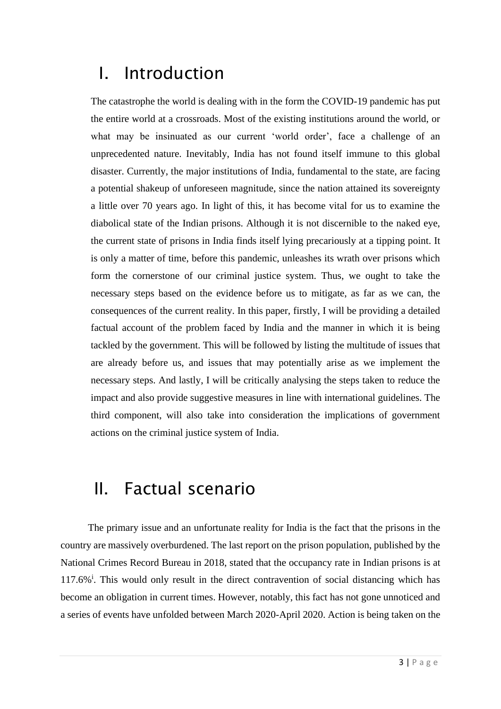## I. Introduction

The catastrophe the world is dealing with in the form the COVID-19 pandemic has put the entire world at a crossroads. Most of the existing institutions around the world, or what may be insinuated as our current 'world order', face a challenge of an unprecedented nature. Inevitably, India has not found itself immune to this global disaster. Currently, the major institutions of India, fundamental to the state, are facing a potential shakeup of unforeseen magnitude, since the nation attained its sovereignty a little over 70 years ago. In light of this, it has become vital for us to examine the diabolical state of the Indian prisons. Although it is not discernible to the naked eye, the current state of prisons in India finds itself lying precariously at a tipping point. It is only a matter of time, before this pandemic, unleashes its wrath over prisons which form the cornerstone of our criminal justice system. Thus, we ought to take the necessary steps based on the evidence before us to mitigate, as far as we can, the consequences of the current reality. In this paper, firstly, I will be providing a detailed factual account of the problem faced by India and the manner in which it is being tackled by the government. This will be followed by listing the multitude of issues that are already before us, and issues that may potentially arise as we implement the necessary steps. And lastly, I will be critically analysing the steps taken to reduce the impact and also provide suggestive measures in line with international guidelines. The third component, will also take into consideration the implications of government actions on the criminal justice system of India.

### II. Factual scenario

 The primary issue and an unfortunate reality for India is the fact that the prisons in the country are massively overburdened. The last report on the prison population, published by the National Crimes Record Bureau in 2018, stated that the occupancy rate in Indian prisons is at 117.6%<sup>i</sup>. This would only result in the direct contravention of social distancing which has become an obligation in current times. However, notably, this fact has not gone unnoticed and a series of events have unfolded between March 2020-April 2020. Action is being taken on the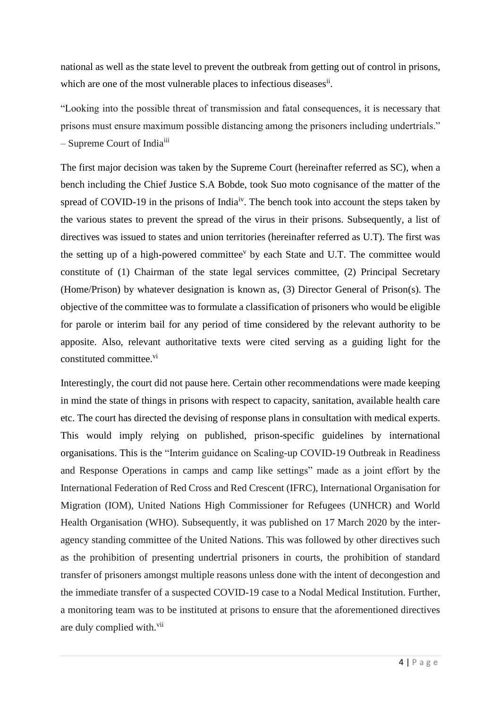national as well as the state level to prevent the outbreak from getting out of control in prisons, which are one of the most vulnerable places to infectious diseases<sup>ii</sup>.

"Looking into the possible threat of transmission and fatal consequences, it is necessary that prisons must ensure maximum possible distancing among the prisoners including undertrials." – Supreme Court of Indiaiii

The first major decision was taken by the Supreme Court (hereinafter referred as SC), when a bench including the Chief Justice S.A Bobde, took Suo moto cognisance of the matter of the spread of COVID-19 in the prisons of India<sup>iv</sup>. The bench took into account the steps taken by the various states to prevent the spread of the virus in their prisons. Subsequently, a list of directives was issued to states and union territories (hereinafter referred as U.T). The first was the setting up of a high-powered committee<sup>v</sup> by each State and U.T. The committee would constitute of (1) Chairman of the state legal services committee, (2) Principal Secretary (Home/Prison) by whatever designation is known as, (3) Director General of Prison(s). The objective of the committee was to formulate a classification of prisoners who would be eligible for parole or interim bail for any period of time considered by the relevant authority to be apposite. Also, relevant authoritative texts were cited serving as a guiding light for the constituted committee.<sup>vi</sup>

Interestingly, the court did not pause here. Certain other recommendations were made keeping in mind the state of things in prisons with respect to capacity, sanitation, available health care etc. The court has directed the devising of response plans in consultation with medical experts. This would imply relying on published, prison-specific guidelines by international organisations. This is the "Interim guidance on Scaling-up COVID-19 Outbreak in Readiness and Response Operations in camps and camp like settings" made as a joint effort by the International Federation of Red Cross and Red Crescent (IFRC), International Organisation for Migration (IOM), United Nations High Commissioner for Refugees (UNHCR) and World Health Organisation (WHO). Subsequently, it was published on 17 March 2020 by the interagency standing committee of the United Nations. This was followed by other directives such as the prohibition of presenting undertrial prisoners in courts, the prohibition of standard transfer of prisoners amongst multiple reasons unless done with the intent of decongestion and the immediate transfer of a suspected COVID-19 case to a Nodal Medical Institution. Further, a monitoring team was to be instituted at prisons to ensure that the aforementioned directives are duly complied with.<sup>vii</sup>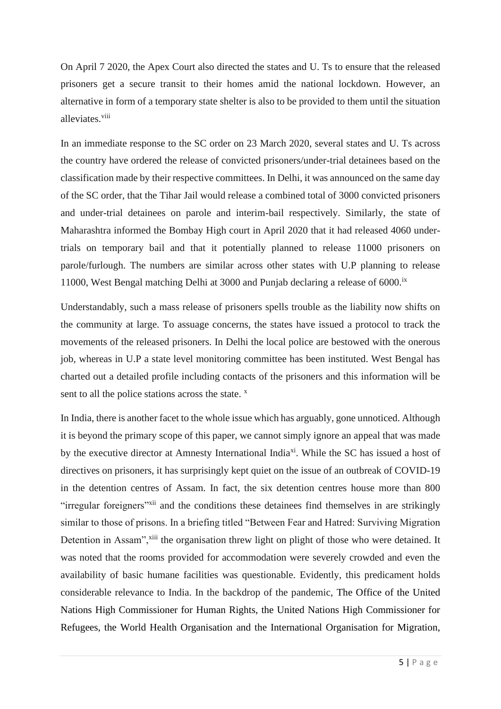On April 7 2020, the Apex Court also directed the states and U. Ts to ensure that the released prisoners get a secure transit to their homes amid the national lockdown. However, an alternative in form of a temporary state shelter is also to be provided to them until the situation alleviates.<sup>viii</sup>

In an immediate response to the SC order on 23 March 2020, several states and U. Ts across the country have ordered the release of convicted prisoners/under-trial detainees based on the classification made by their respective committees. In Delhi, it was announced on the same day of the SC order, that the Tihar Jail would release a combined total of 3000 convicted prisoners and under-trial detainees on parole and interim-bail respectively. Similarly, the state of Maharashtra informed the Bombay High court in April 2020 that it had released 4060 undertrials on temporary bail and that it potentially planned to release 11000 prisoners on parole/furlough. The numbers are similar across other states with U.P planning to release 11000, West Bengal matching Delhi at 3000 and Punjab declaring a release of  $6000$ .<sup>ix</sup>

Understandably, such a mass release of prisoners spells trouble as the liability now shifts on the community at large. To assuage concerns, the states have issued a protocol to track the movements of the released prisoners. In Delhi the local police are bestowed with the onerous job, whereas in U.P a state level monitoring committee has been instituted. West Bengal has charted out a detailed profile including contacts of the prisoners and this information will be sent to all the police stations across the state.  $x$ 

In India, there is another facet to the whole issue which has arguably, gone unnoticed. Although it is beyond the primary scope of this paper, we cannot simply ignore an appeal that was made by the executive director at Amnesty International India<sup>xi</sup>. While the SC has issued a host of directives on prisoners, it has surprisingly kept quiet on the issue of an outbreak of COVID-19 in the detention centres of Assam. In fact, the six detention centres house more than 800 "irregular foreigners"<sup>xii</sup> and the conditions these detainees find themselves in are strikingly similar to those of prisons. In a briefing titled "Between Fear and Hatred: Surviving Migration Detention in Assam",<sup>xiii</sup> the organisation threw light on plight of those who were detained. It was noted that the rooms provided for accommodation were severely crowded and even the availability of basic humane facilities was questionable. Evidently, this predicament holds considerable relevance to India. In the backdrop of the pandemic, The Office of the United Nations High Commissioner for Human Rights, the United Nations High Commissioner for Refugees, the World Health Organisation and the International Organisation for Migration,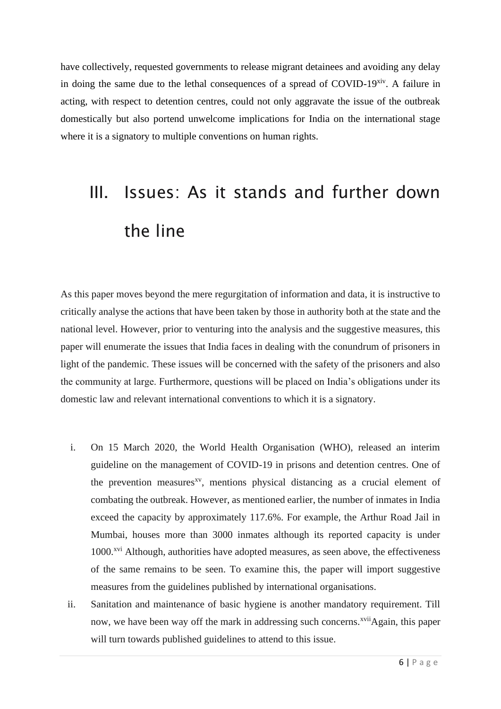have collectively, requested governments to release migrant detainees and avoiding any delay in doing the same due to the lethal consequences of a spread of COVID-19xiv. A failure in acting, with respect to detention centres, could not only aggravate the issue of the outbreak domestically but also portend unwelcome implications for India on the international stage where it is a signatory to multiple conventions on human rights.

# III. Issues: As it stands and further down the line

As this paper moves beyond the mere regurgitation of information and data, it is instructive to critically analyse the actions that have been taken by those in authority both at the state and the national level. However, prior to venturing into the analysis and the suggestive measures, this paper will enumerate the issues that India faces in dealing with the conundrum of prisoners in light of the pandemic. These issues will be concerned with the safety of the prisoners and also the community at large. Furthermore, questions will be placed on India's obligations under its domestic law and relevant international conventions to which it is a signatory.

- i. On 15 March 2020, the World Health Organisation (WHO), released an interim guideline on the management of COVID-19 in prisons and detention centres. One of the prevention measures<sup>xv</sup>, mentions physical distancing as a crucial element of combating the outbreak. However, as mentioned earlier, the number of inmates in India exceed the capacity by approximately 117.6%. For example, the Arthur Road Jail in Mumbai, houses more than 3000 inmates although its reported capacity is under 1000<sup>xvi</sup> Although, authorities have adopted measures, as seen above, the effectiveness of the same remains to be seen. To examine this, the paper will import suggestive measures from the guidelines published by international organisations.
- ii. Sanitation and maintenance of basic hygiene is another mandatory requirement. Till now, we have been way off the mark in addressing such concerns.<sup>xvii</sup>Again, this paper will turn towards published guidelines to attend to this issue.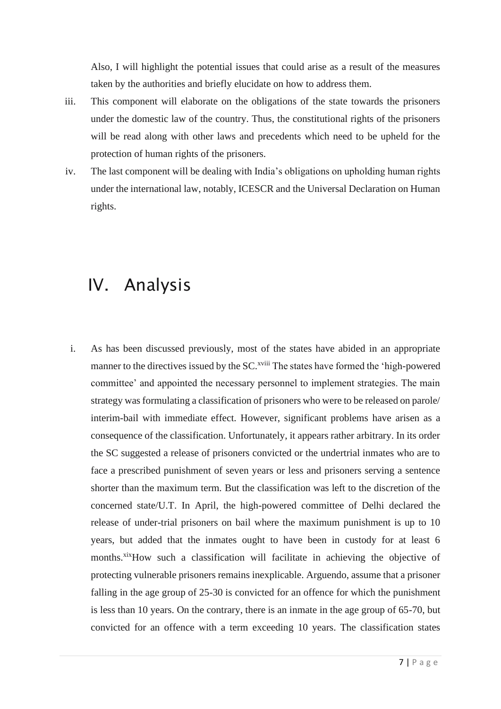Also, I will highlight the potential issues that could arise as a result of the measures taken by the authorities and briefly elucidate on how to address them.

- iii. This component will elaborate on the obligations of the state towards the prisoners under the domestic law of the country. Thus, the constitutional rights of the prisoners will be read along with other laws and precedents which need to be upheld for the protection of human rights of the prisoners.
- iv. The last component will be dealing with India's obligations on upholding human rights under the international law, notably, ICESCR and the Universal Declaration on Human rights.

#### IV. Analysis

i. As has been discussed previously, most of the states have abided in an appropriate manner to the directives issued by the SC.<sup>xviii</sup> The states have formed the 'high-powered committee' and appointed the necessary personnel to implement strategies. The main strategy was formulating a classification of prisoners who were to be released on parole/ interim-bail with immediate effect. However, significant problems have arisen as a consequence of the classification. Unfortunately, it appears rather arbitrary. In its order the SC suggested a release of prisoners convicted or the undertrial inmates who are to face a prescribed punishment of seven years or less and prisoners serving a sentence shorter than the maximum term. But the classification was left to the discretion of the concerned state/U.T. In April, the high-powered committee of Delhi declared the release of under-trial prisoners on bail where the maximum punishment is up to 10 years, but added that the inmates ought to have been in custody for at least 6 months.<sup>xix</sup>How such a classification will facilitate in achieving the objective of protecting vulnerable prisoners remains inexplicable. Arguendo, assume that a prisoner falling in the age group of 25-30 is convicted for an offence for which the punishment is less than 10 years. On the contrary, there is an inmate in the age group of 65-70, but convicted for an offence with a term exceeding 10 years. The classification states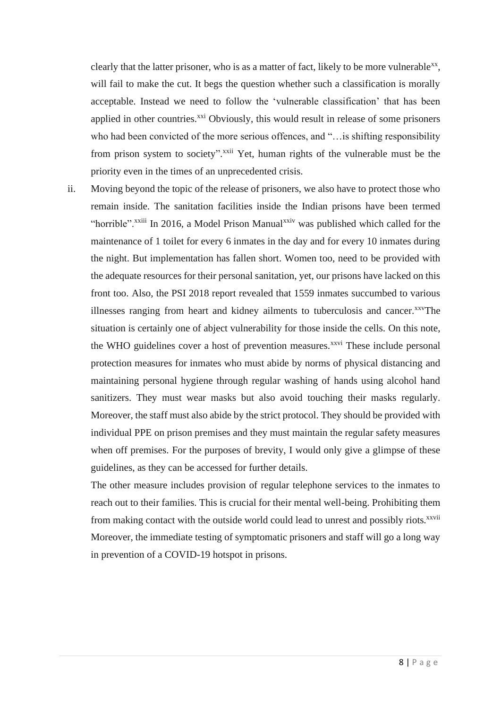clearly that the latter prisoner, who is as a matter of fact, likely to be more vulnerable $^{xx}$ , will fail to make the cut. It begs the question whether such a classification is morally acceptable. Instead we need to follow the 'vulnerable classification' that has been applied in other countries.<sup>xxi</sup> Obviously, this would result in release of some prisoners who had been convicted of the more serious offences, and "…is shifting responsibility from prison system to society".<sup>xxii</sup> Yet, human rights of the vulnerable must be the priority even in the times of an unprecedented crisis.

ii. Moving beyond the topic of the release of prisoners, we also have to protect those who remain inside. The sanitation facilities inside the Indian prisons have been termed "horrible".<sup>xxiii</sup> In 2016, a Model Prison Manual<sup>xxiv</sup> was published which called for the maintenance of 1 toilet for every 6 inmates in the day and for every 10 inmates during the night. But implementation has fallen short. Women too, need to be provided with the adequate resources for their personal sanitation, yet, our prisons have lacked on this front too. Also, the PSI 2018 report revealed that 1559 inmates succumbed to various illnesses ranging from heart and kidney ailments to tuberculosis and cancer.<sup>xxv</sup>The situation is certainly one of abject vulnerability for those inside the cells. On this note, the WHO guidelines cover a host of prevention measures.<sup>xxvi</sup> These include personal protection measures for inmates who must abide by norms of physical distancing and maintaining personal hygiene through regular washing of hands using alcohol hand sanitizers. They must wear masks but also avoid touching their masks regularly. Moreover, the staff must also abide by the strict protocol. They should be provided with individual PPE on prison premises and they must maintain the regular safety measures when off premises. For the purposes of brevity, I would only give a glimpse of these guidelines, as they can be accessed for further details.

The other measure includes provision of regular telephone services to the inmates to reach out to their families. This is crucial for their mental well-being. Prohibiting them from making contact with the outside world could lead to unrest and possibly riots.<sup>xxvii</sup> Moreover, the immediate testing of symptomatic prisoners and staff will go a long way in prevention of a COVID-19 hotspot in prisons.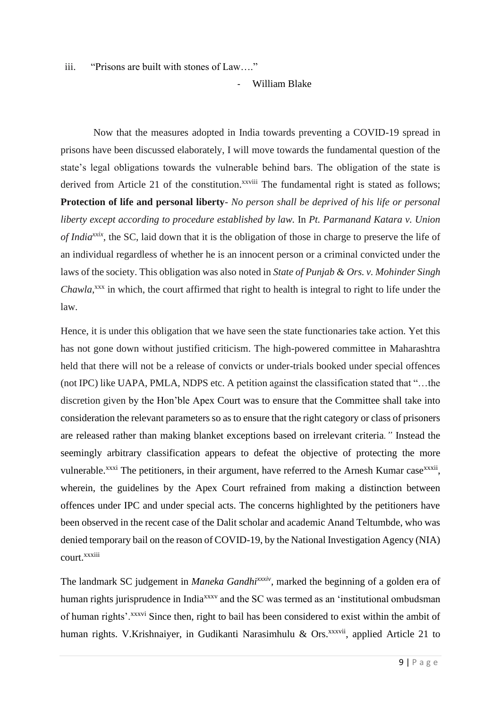iii. "Prisons are built with stones of Law…."

- William Blake

 Now that the measures adopted in India towards preventing a COVID-19 spread in prisons have been discussed elaborately, I will move towards the fundamental question of the state's legal obligations towards the vulnerable behind bars. The obligation of the state is derived from Article 21 of the constitution.<sup>xxviii</sup> The fundamental right is stated as follows; **Protection of life and personal liberty**- *No person shall be deprived of his life or personal liberty except according to procedure established by law.* In *Pt. Parmanand Katara v. Union of Indiaxxix*, the SC, laid down that it is the obligation of those in charge to preserve the life of an individual regardless of whether he is an innocent person or a criminal convicted under the laws of the society. This obligation was also noted in *State of Punjab & Ors. v. Mohinder Singh*  Chawla,<sup>xxx</sup> in which, the court affirmed that right to health is integral to right to life under the law.

Hence, it is under this obligation that we have seen the state functionaries take action. Yet this has not gone down without justified criticism. The high-powered committee in Maharashtra held that there will not be a release of convicts or under-trials booked under special offences (not IPC) like UAPA, PMLA, NDPS etc. A petition against the classification stated that "…the discretion given by the Hon'ble Apex Court was to ensure that the Committee shall take into consideration the relevant parameters so as to ensure that the right category or class of prisoners are released rather than making blanket exceptions based on irrelevant criteria*."* Instead the seemingly arbitrary classification appears to defeat the objective of protecting the more vulnerable.<sup>xxxi</sup> The petitioners, in their argument, have referred to the Arnesh Kumar case<sup>xxxii</sup>, wherein, the guidelines by the Apex Court refrained from making a distinction between offences under IPC and under special acts. The concerns highlighted by the petitioners have been observed in the recent case of the Dalit scholar and academic Anand Teltumbde, who was denied temporary bail on the reason of COVID-19, by the National Investigation Agency (NIA) court.xxxiii

The landmark SC judgement in *Maneka Gandhixxxiv*, marked the beginning of a golden era of human rights jurisprudence in India<sup>xxxv</sup> and the SC was termed as an 'institutional ombudsman of human rights'.<sup>xxxvi</sup> Since then, right to bail has been considered to exist within the ambit of human rights. V.Krishnaiyer, in Gudikanti Narasimhulu & Ors. $^{xxxxii}$ , applied Article 21 to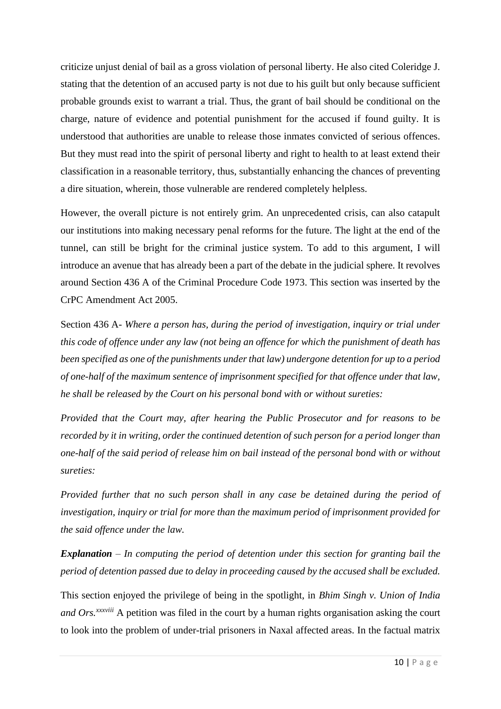criticize unjust denial of bail as a gross violation of personal liberty. He also cited Coleridge J. stating that the detention of an accused party is not due to his guilt but only because sufficient probable grounds exist to warrant a trial. Thus, the grant of bail should be conditional on the charge, nature of evidence and potential punishment for the accused if found guilty. It is understood that authorities are unable to release those inmates convicted of serious offences. But they must read into the spirit of personal liberty and right to health to at least extend their classification in a reasonable territory, thus, substantially enhancing the chances of preventing a dire situation, wherein, those vulnerable are rendered completely helpless.

However, the overall picture is not entirely grim. An unprecedented crisis, can also catapult our institutions into making necessary penal reforms for the future. The light at the end of the tunnel, can still be bright for the criminal justice system. To add to this argument, I will introduce an avenue that has already been a part of the debate in the judicial sphere. It revolves around Section 436 A of the Criminal Procedure Code 1973. This section was inserted by the CrPC Amendment Act 2005.

Section 436 A- *Where a person has, during the period of investigation, inquiry or trial under this code of offence under any law (not being an offence for which the punishment of death has been specified as one of the punishments under that law) undergone detention for up to a period of one-half of the maximum sentence of imprisonment specified for that offence under that law, he shall be released by the Court on his personal bond with or without sureties:* 

*Provided that the Court may, after hearing the Public Prosecutor and for reasons to be recorded by it in writing, order the continued detention of such person for a period longer than one-half of the said period of release him on bail instead of the personal bond with or without sureties:* 

*Provided further that no such person shall in any case be detained during the period of investigation, inquiry or trial for more than the maximum period of imprisonment provided for the said offence under the law.* 

*Explanation – In computing the period of detention under this section for granting bail the period of detention passed due to delay in proceeding caused by the accused shall be excluded.*

This section enjoyed the privilege of being in the spotlight, in *Bhim Singh v. Union of India and Ors.xxxviii* A petition was filed in the court by a human rights organisation asking the court to look into the problem of under-trial prisoners in Naxal affected areas. In the factual matrix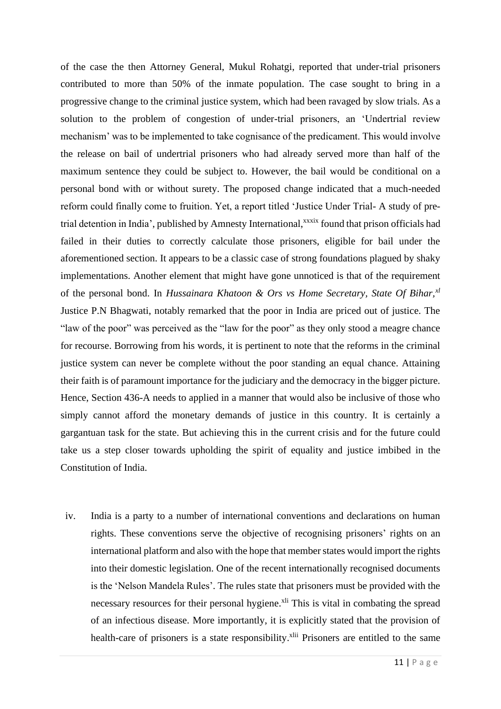of the case the then Attorney General, Mukul Rohatgi, reported that under-trial prisoners contributed to more than 50% of the inmate population. The case sought to bring in a progressive change to the criminal justice system, which had been ravaged by slow trials. As a solution to the problem of congestion of under-trial prisoners, an 'Undertrial review mechanism' was to be implemented to take cognisance of the predicament. This would involve the release on bail of undertrial prisoners who had already served more than half of the maximum sentence they could be subject to. However, the bail would be conditional on a personal bond with or without surety. The proposed change indicated that a much-needed reform could finally come to fruition. Yet, a report titled 'Justice Under Trial- A study of pretrial detention in India', published by Amnesty International,<sup>xxxix</sup> found that prison officials had failed in their duties to correctly calculate those prisoners, eligible for bail under the aforementioned section. It appears to be a classic case of strong foundations plagued by shaky implementations. Another element that might have gone unnoticed is that of the requirement of the personal bond. In *Hussainara Khatoon & Ors vs Home Secretary, State Of Bihar,xl* Justice P.N Bhagwati, notably remarked that the poor in India are priced out of justice. The "law of the poor" was perceived as the "law for the poor" as they only stood a meagre chance for recourse. Borrowing from his words, it is pertinent to note that the reforms in the criminal justice system can never be complete without the poor standing an equal chance. Attaining their faith is of paramount importance for the judiciary and the democracy in the bigger picture. Hence, Section 436-A needs to applied in a manner that would also be inclusive of those who simply cannot afford the monetary demands of justice in this country. It is certainly a gargantuan task for the state. But achieving this in the current crisis and for the future could take us a step closer towards upholding the spirit of equality and justice imbibed in the Constitution of India.

iv. India is a party to a number of international conventions and declarations on human rights. These conventions serve the objective of recognising prisoners' rights on an international platform and also with the hope that member states would import the rights into their domestic legislation. One of the recent internationally recognised documents is the 'Nelson Mandela Rules'. The rules state that prisoners must be provided with the necessary resources for their personal hygiene.<sup>xli</sup> This is vital in combating the spread of an infectious disease. More importantly, it is explicitly stated that the provision of health-care of prisoners is a state responsibility.<sup>xlii</sup> Prisoners are entitled to the same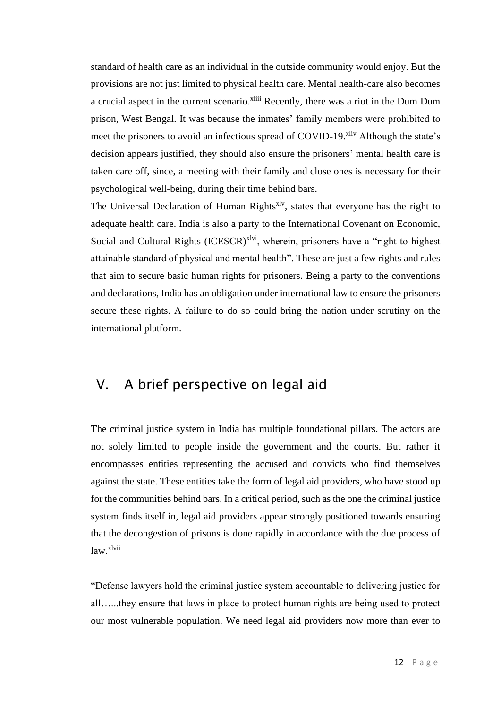standard of health care as an individual in the outside community would enjoy. But the provisions are not just limited to physical health care. Mental health-care also becomes a crucial aspect in the current scenario.<sup>xliii</sup> Recently, there was a riot in the Dum Dum prison, West Bengal. It was because the inmates' family members were prohibited to meet the prisoners to avoid an infectious spread of COVID-19.<sup>xliv</sup> Although the state's decision appears justified, they should also ensure the prisoners' mental health care is taken care off, since, a meeting with their family and close ones is necessary for their psychological well-being, during their time behind bars.

The Universal Declaration of Human Rights<sup>xlv</sup>, states that everyone has the right to adequate health care. India is also a party to the International Covenant on Economic, Social and Cultural Rights  $(IESCR)^{x|vi}$ , wherein, prisoners have a "right to highest attainable standard of physical and mental health". These are just a few rights and rules that aim to secure basic human rights for prisoners. Being a party to the conventions and declarations, India has an obligation under international law to ensure the prisoners secure these rights. A failure to do so could bring the nation under scrutiny on the international platform.

#### V. A brief perspective on legal aid

The criminal justice system in India has multiple foundational pillars. The actors are not solely limited to people inside the government and the courts. But rather it encompasses entities representing the accused and convicts who find themselves against the state. These entities take the form of legal aid providers, who have stood up for the communities behind bars. In a critical period, such as the one the criminal justice system finds itself in, legal aid providers appear strongly positioned towards ensuring that the decongestion of prisons is done rapidly in accordance with the due process of law.<sup>xlvii</sup>

"Defense lawyers hold the criminal justice system accountable to delivering justice for all…...they ensure that laws in place to protect human rights are being used to protect our most vulnerable population. We need legal aid providers now more than ever to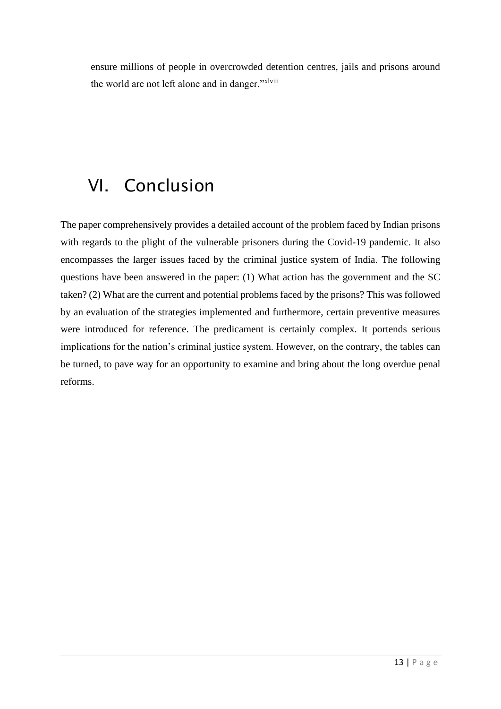ensure millions of people in overcrowded detention centres, jails and prisons around the world are not left alone and in danger."xlviii

#### VI. Conclusion

The paper comprehensively provides a detailed account of the problem faced by Indian prisons with regards to the plight of the vulnerable prisoners during the Covid-19 pandemic. It also encompasses the larger issues faced by the criminal justice system of India. The following questions have been answered in the paper: (1) What action has the government and the SC taken? (2) What are the current and potential problems faced by the prisons? This was followed by an evaluation of the strategies implemented and furthermore, certain preventive measures were introduced for reference. The predicament is certainly complex. It portends serious implications for the nation's criminal justice system. However, on the contrary, the tables can be turned, to pave way for an opportunity to examine and bring about the long overdue penal reforms.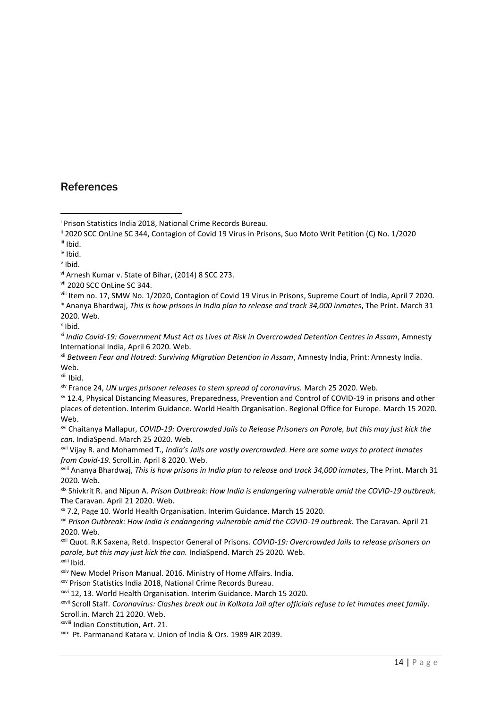#### **References**

xiii Ibid.

xvii Vijay R. and Mohammed T., *India's Jails are vastly overcrowded. Here are some ways to protect inmates from Covid-19.* Scroll.in. April 8 2020. Web.

xviii Ananya Bhardwaj, *This is how prisons in India plan to release and track 34,000 inmates*, The Print. March 31 2020. Web.

xix Shivkrit R. and Nipun A. *Prison Outbreak: How India is endangering vulnerable amid the COVID-19 outbreak.* The Caravan. April 21 2020. Web.

xx 7.2, Page 10. World Health Organisation. Interim Guidance. March 15 2020.

xxii Quot. R.K Saxena, Retd. Inspector General of Prisons. *COVID-19: Overcrowded Jails to release prisoners on parole, but this may just kick the can.* IndiaSpend. March 25 2020. Web. xxiii Ibid.

xxiv New Model Prison Manual. 2016. Ministry of Home Affairs. India.

xxv Prison Statistics India 2018, National Crime Records Bureau.

xxvi 12, 13. World Health Organisation. Interim Guidance. March 15 2020.

xxvii Scroll Staff*. Coronavirus: Clashes break out in Kolkata Jail after officials refuse to let inmates meet family*. Scroll.in. March 21 2020. Web.

xxviii Indian Constitution, Art. 21.

xxix Pt. Parmanand Katara v. Union of India & Ors. 1989 AIR 2039.

<sup>&</sup>lt;sup>i</sup> Prison Statistics India 2018, National Crime Records Bureau.

<sup>&</sup>lt;sup>ii</sup> 2020 SCC OnLine SC 344, Contagion of Covid 19 Virus in Prisons, Suo Moto Writ Petition (C) No. 1/2020 iii Ibid.

iv Ibid.

v Ibid.

vi Arnesh Kumar v. State of Bihar, (2014) 8 SCC 273.

vii 2020 SCC OnLine SC 344.

viii Item no. 17, SMW No. 1/2020, Contagion of Covid 19 Virus in Prisons, Supreme Court of India, April 7 2020. ix Ananya Bhardwaj, *This is how prisons in India plan to release and track 34,000 inmates*, The Print. March 31 2020. Web.

x Ibid.

xi *India Covid-19: Government Must Act as Lives at Risk in Overcrowded Detention Centres in Assam*, Amnesty International India, April 6 2020. Web.

xii *Between Fear and Hatred: Surviving Migration Detention in Assam*, Amnesty India, Print: Amnesty India. Web.

xiv France 24, *UN urges prisoner releases to stem spread of coronavirus.* March 25 2020. Web.

xv 12.4, Physical Distancing Measures, Preparedness, Prevention and Control of COVID-19 in prisons and other places of detention. Interim Guidance. World Health Organisation. Regional Office for Europe. March 15 2020. Web.

xvi Chaitanya Mallapur, *COVID-19: Overcrowded Jails to Release Prisoners on Parole, but this may just kick the can.* IndiaSpend. March 25 2020. Web.

xxi *Prison Outbreak: How India is endangering vulnerable amid the COVID-19 outbreak*. The Caravan. April 21 2020. Web.